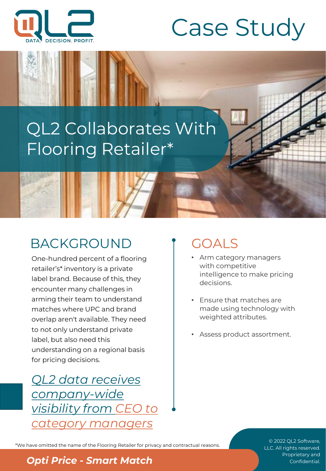

# Case Study

# QL2 Collaborates With Flooring Retailer\*

### BACKGROUND

One-hundred percent of a flooring retailer's\* inventory is a private label brand. Because of this, they encounter many challenges in arming their team to understand matches where UPC and brand overlap aren't available. They need to not only understand private label, but also need this understanding on a regional basis for pricing decisions.

*QL2 data receives company-wide visibility from CEO to category managers*

# GOALS

- Arm category managers with competitive intelligence to make pricing decisions.
- Ensure that matches are made using technology with weighted attributes.
- Assess product assortment.

\*We have omitted the name of the Flooring Retailer for privacy and contractual reasons.

**Proprietary and** *Price - Smart Match* Confidential.

© 2022 QL2 Software, LLC. All rights reserved.